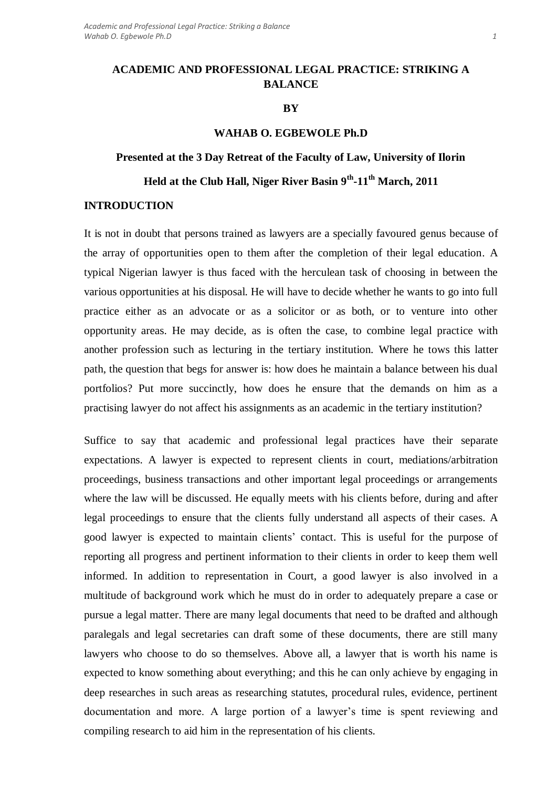# **ACADEMIC AND PROFESSIONAL LEGAL PRACTICE: STRIKING A BALANCE**

### **BY**

## **WAHAB O. EGBEWOLE Ph.D**

# **Presented at the 3 Day Retreat of the Faculty of Law, University of Ilorin**

# **Held at the Club Hall, Niger River Basin 9th -11th March, 2011**

## **INTRODUCTION**

It is not in doubt that persons trained as lawyers are a specially favoured genus because of the array of opportunities open to them after the completion of their legal education. A typical Nigerian lawyer is thus faced with the herculean task of choosing in between the various opportunities at his disposal. He will have to decide whether he wants to go into full practice either as an advocate or as a solicitor or as both, or to venture into other opportunity areas. He may decide, as is often the case, to combine legal practice with another profession such as lecturing in the tertiary institution. Where he tows this latter path, the question that begs for answer is: how does he maintain a balance between his dual portfolios? Put more succinctly, how does he ensure that the demands on him as a practising lawyer do not affect his assignments as an academic in the tertiary institution?

Suffice to say that academic and professional legal practices have their separate expectations. A lawyer is expected to represent clients in court, mediations/arbitration proceedings, business transactions and other important legal proceedings or arrangements where the law will be discussed. He equally meets with his clients before, during and after legal proceedings to ensure that the clients fully understand all aspects of their cases. A good lawyer is expected to maintain clients' contact. This is useful for the purpose of reporting all progress and pertinent information to their clients in order to keep them well informed. In addition to representation in Court, a good lawyer is also involved in a multitude of background work which he must do in order to adequately prepare a case or pursue a legal matter. There are many legal documents that need to be drafted and although paralegals and legal secretaries can draft some of these documents, there are still many lawyers who choose to do so themselves. Above all, a lawyer that is worth his name is expected to know something about everything; and this he can only achieve by engaging in deep researches in such areas as researching statutes, procedural rules, evidence, pertinent documentation and more. A large portion of a lawyer's time is spent reviewing and compiling research to aid him in the representation of his clients.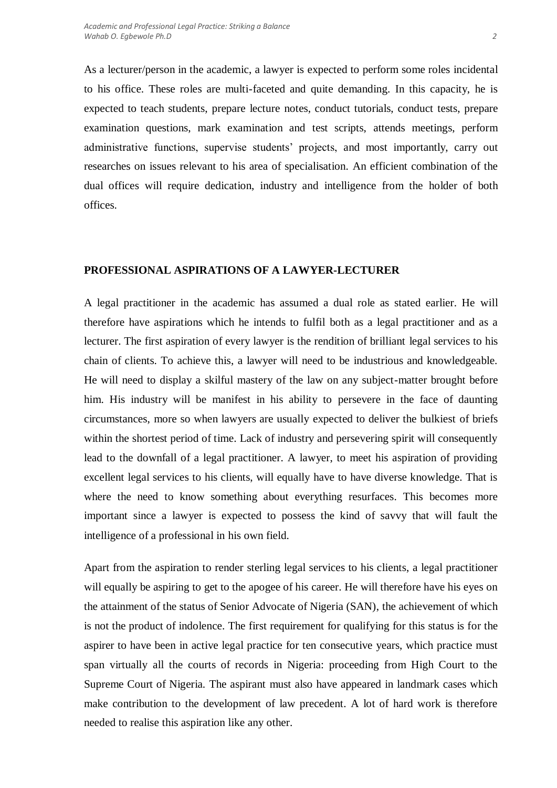As a lecturer/person in the academic, a lawyer is expected to perform some roles incidental to his office. These roles are multi-faceted and quite demanding. In this capacity, he is expected to teach students, prepare lecture notes, conduct tutorials, conduct tests, prepare examination questions, mark examination and test scripts, attends meetings, perform administrative functions, supervise students' projects, and most importantly, carry out researches on issues relevant to his area of specialisation. An efficient combination of the dual offices will require dedication, industry and intelligence from the holder of both offices.

### **PROFESSIONAL ASPIRATIONS OF A LAWYER-LECTURER**

A legal practitioner in the academic has assumed a dual role as stated earlier. He will therefore have aspirations which he intends to fulfil both as a legal practitioner and as a lecturer. The first aspiration of every lawyer is the rendition of brilliant legal services to his chain of clients. To achieve this, a lawyer will need to be industrious and knowledgeable. He will need to display a skilful mastery of the law on any subject-matter brought before him. His industry will be manifest in his ability to persevere in the face of daunting circumstances, more so when lawyers are usually expected to deliver the bulkiest of briefs within the shortest period of time. Lack of industry and persevering spirit will consequently lead to the downfall of a legal practitioner. A lawyer, to meet his aspiration of providing excellent legal services to his clients, will equally have to have diverse knowledge. That is where the need to know something about everything resurfaces. This becomes more important since a lawyer is expected to possess the kind of savvy that will fault the intelligence of a professional in his own field.

Apart from the aspiration to render sterling legal services to his clients, a legal practitioner will equally be aspiring to get to the apogee of his career. He will therefore have his eyes on the attainment of the status of Senior Advocate of Nigeria (SAN), the achievement of which is not the product of indolence. The first requirement for qualifying for this status is for the aspirer to have been in active legal practice for ten consecutive years, which practice must span virtually all the courts of records in Nigeria: proceeding from High Court to the Supreme Court of Nigeria. The aspirant must also have appeared in landmark cases which make contribution to the development of law precedent. A lot of hard work is therefore needed to realise this aspiration like any other.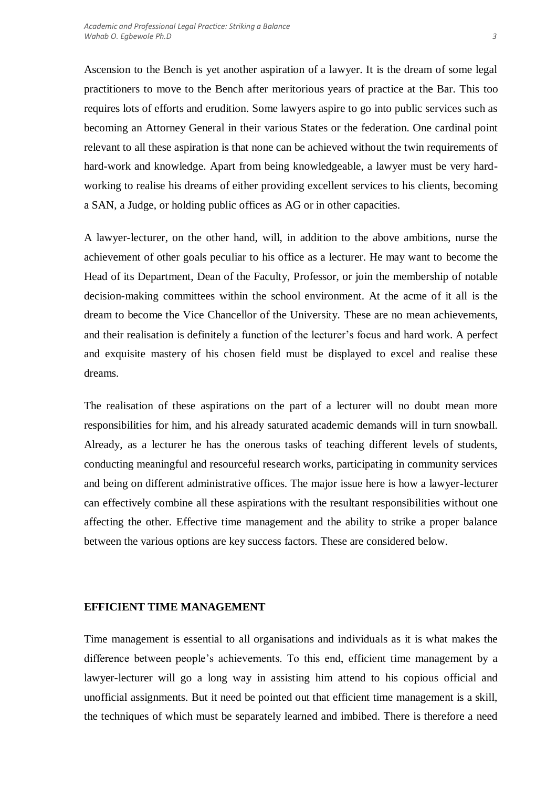Ascension to the Bench is yet another aspiration of a lawyer. It is the dream of some legal practitioners to move to the Bench after meritorious years of practice at the Bar. This too requires lots of efforts and erudition. Some lawyers aspire to go into public services such as becoming an Attorney General in their various States or the federation. One cardinal point relevant to all these aspiration is that none can be achieved without the twin requirements of hard-work and knowledge. Apart from being knowledgeable, a lawyer must be very hardworking to realise his dreams of either providing excellent services to his clients, becoming a SAN, a Judge, or holding public offices as AG or in other capacities.

A lawyer-lecturer, on the other hand, will, in addition to the above ambitions, nurse the achievement of other goals peculiar to his office as a lecturer. He may want to become the Head of its Department, Dean of the Faculty, Professor, or join the membership of notable decision-making committees within the school environment. At the acme of it all is the dream to become the Vice Chancellor of the University. These are no mean achievements, and their realisation is definitely a function of the lecturer's focus and hard work. A perfect and exquisite mastery of his chosen field must be displayed to excel and realise these dreams.

The realisation of these aspirations on the part of a lecturer will no doubt mean more responsibilities for him, and his already saturated academic demands will in turn snowball. Already, as a lecturer he has the onerous tasks of teaching different levels of students, conducting meaningful and resourceful research works, participating in community services and being on different administrative offices. The major issue here is how a lawyer-lecturer can effectively combine all these aspirations with the resultant responsibilities without one affecting the other. Effective time management and the ability to strike a proper balance between the various options are key success factors. These are considered below.

#### **EFFICIENT TIME MANAGEMENT**

Time management is essential to all organisations and individuals as it is what makes the difference between people's achievements. To this end, efficient time management by a lawyer-lecturer will go a long way in assisting him attend to his copious official and unofficial assignments. But it need be pointed out that efficient time management is a skill, the techniques of which must be separately learned and imbibed. There is therefore a need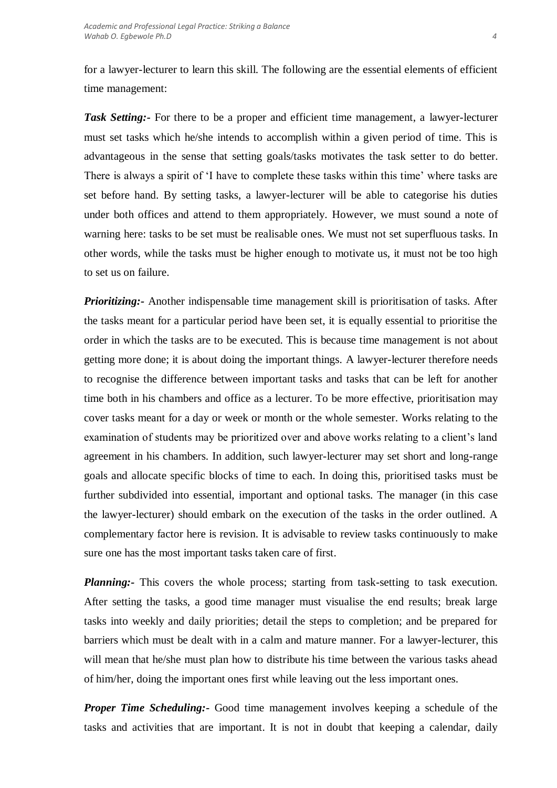for a lawyer-lecturer to learn this skill. The following are the essential elements of efficient time management:

*Task Setting:-* For there to be a proper and efficient time management, a lawyer-lecturer must set tasks which he/she intends to accomplish within a given period of time. This is advantageous in the sense that setting goals/tasks motivates the task setter to do better. There is always a spirit of 'I have to complete these tasks within this time' where tasks are set before hand. By setting tasks, a lawyer-lecturer will be able to categorise his duties under both offices and attend to them appropriately. However, we must sound a note of warning here: tasks to be set must be realisable ones. We must not set superfluous tasks. In other words, while the tasks must be higher enough to motivate us, it must not be too high to set us on failure.

*Prioritizing:-* Another indispensable time management skill is prioritisation of tasks. After the tasks meant for a particular period have been set, it is equally essential to prioritise the order in which the tasks are to be executed. This is because time management is not about getting more done; it is about doing the important things. A lawyer-lecturer therefore needs to recognise the difference between important tasks and tasks that can be left for another time both in his chambers and office as a lecturer. To be more effective, prioritisation may cover tasks meant for a day or week or month or the whole semester. Works relating to the examination of students may be prioritized over and above works relating to a client's land agreement in his chambers. In addition, such lawyer-lecturer may set short and long-range goals and allocate specific blocks of time to each. In doing this, prioritised tasks must be further subdivided into essential, important and optional tasks. The manager (in this case the lawyer-lecturer) should embark on the execution of the tasks in the order outlined. A complementary factor here is revision. It is advisable to review tasks continuously to make sure one has the most important tasks taken care of first.

*Planning:*- This covers the whole process; starting from task-setting to task execution. After setting the tasks, a good time manager must visualise the end results; break large tasks into weekly and daily priorities; detail the steps to completion; and be prepared for barriers which must be dealt with in a calm and mature manner. For a lawyer-lecturer, this will mean that he/she must plan how to distribute his time between the various tasks ahead of him/her, doing the important ones first while leaving out the less important ones.

*Proper Time Scheduling:-* Good time management involves keeping a schedule of the tasks and activities that are important. It is not in doubt that keeping a calendar, daily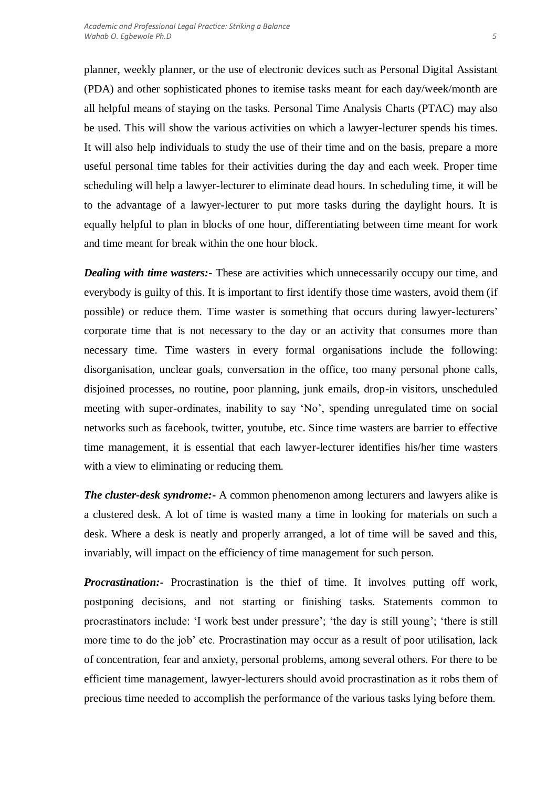planner, weekly planner, or the use of electronic devices such as Personal Digital Assistant (PDA) and other sophisticated phones to itemise tasks meant for each day/week/month are all helpful means of staying on the tasks. Personal Time Analysis Charts (PTAC) may also be used. This will show the various activities on which a lawyer-lecturer spends his times. It will also help individuals to study the use of their time and on the basis, prepare a more useful personal time tables for their activities during the day and each week. Proper time scheduling will help a lawyer-lecturer to eliminate dead hours. In scheduling time, it will be to the advantage of a lawyer-lecturer to put more tasks during the daylight hours. It is equally helpful to plan in blocks of one hour, differentiating between time meant for work and time meant for break within the one hour block.

*Dealing with time wasters:-* These are activities which unnecessarily occupy our time, and everybody is guilty of this. It is important to first identify those time wasters, avoid them (if possible) or reduce them. Time waster is something that occurs during lawyer-lecturers' corporate time that is not necessary to the day or an activity that consumes more than necessary time. Time wasters in every formal organisations include the following: disorganisation, unclear goals, conversation in the office, too many personal phone calls, disjoined processes, no routine, poor planning, junk emails, drop-in visitors, unscheduled meeting with super-ordinates, inability to say 'No', spending unregulated time on social networks such as facebook, twitter, youtube, etc. Since time wasters are barrier to effective time management, it is essential that each lawyer-lecturer identifies his/her time wasters with a view to eliminating or reducing them.

*The cluster-desk syndrome:* A common phenomenon among lecturers and lawyers alike is a clustered desk. A lot of time is wasted many a time in looking for materials on such a desk. Where a desk is neatly and properly arranged, a lot of time will be saved and this, invariably, will impact on the efficiency of time management for such person.

*Procrastination:* Procrastination is the thief of time. It involves putting off work, postponing decisions, and not starting or finishing tasks. Statements common to procrastinators include: 'I work best under pressure'; 'the day is still young'; 'there is still more time to do the job' etc. Procrastination may occur as a result of poor utilisation, lack of concentration, fear and anxiety, personal problems, among several others. For there to be efficient time management, lawyer-lecturers should avoid procrastination as it robs them of precious time needed to accomplish the performance of the various tasks lying before them.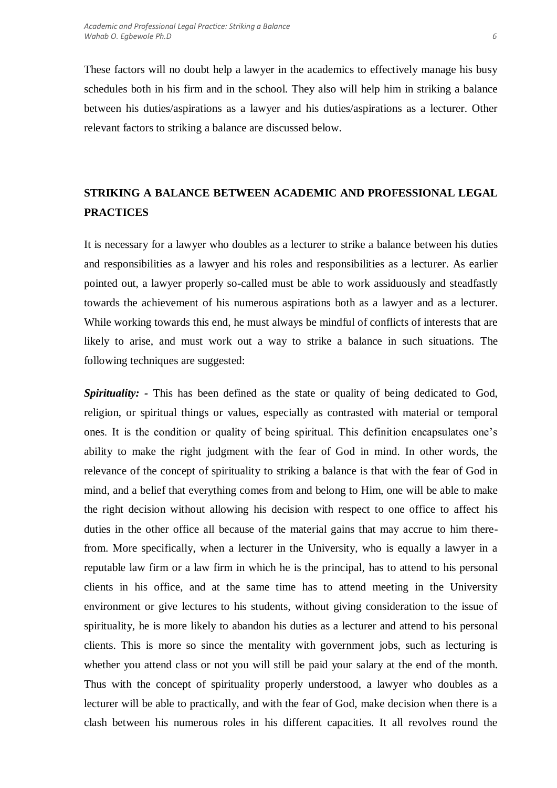These factors will no doubt help a lawyer in the academics to effectively manage his busy schedules both in his firm and in the school. They also will help him in striking a balance between his duties/aspirations as a lawyer and his duties/aspirations as a lecturer. Other relevant factors to striking a balance are discussed below.

# **STRIKING A BALANCE BETWEEN ACADEMIC AND PROFESSIONAL LEGAL PRACTICES**

It is necessary for a lawyer who doubles as a lecturer to strike a balance between his duties and responsibilities as a lawyer and his roles and responsibilities as a lecturer. As earlier pointed out, a lawyer properly so-called must be able to work assiduously and steadfastly towards the achievement of his numerous aspirations both as a lawyer and as a lecturer. While working towards this end, he must always be mindful of conflicts of interests that are likely to arise, and must work out a way to strike a balance in such situations. The following techniques are suggested:

*Spirituality: -* This has been defined as the state or quality of being dedicated to God, religion, or spiritual things or values, especially as contrasted with material or temporal ones. It is the condition or quality of being spiritual. This definition encapsulates one's ability to make the right judgment with the fear of God in mind. In other words, the relevance of the concept of spirituality to striking a balance is that with the fear of God in mind, and a belief that everything comes from and belong to Him, one will be able to make the right decision without allowing his decision with respect to one office to affect his duties in the other office all because of the material gains that may accrue to him therefrom. More specifically, when a lecturer in the University, who is equally a lawyer in a reputable law firm or a law firm in which he is the principal, has to attend to his personal clients in his office, and at the same time has to attend meeting in the University environment or give lectures to his students, without giving consideration to the issue of spirituality, he is more likely to abandon his duties as a lecturer and attend to his personal clients. This is more so since the mentality with government jobs, such as lecturing is whether you attend class or not you will still be paid your salary at the end of the month. Thus with the concept of spirituality properly understood, a lawyer who doubles as a lecturer will be able to practically, and with the fear of God, make decision when there is a clash between his numerous roles in his different capacities. It all revolves round the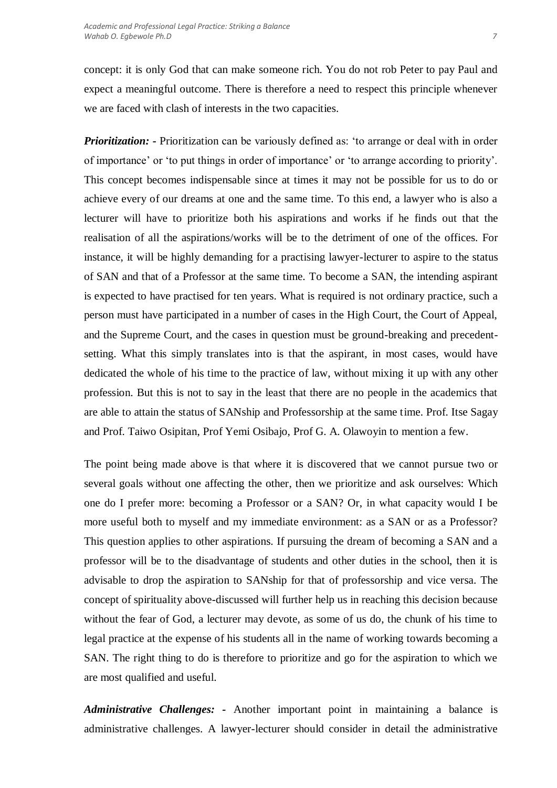concept: it is only God that can make someone rich. You do not rob Peter to pay Paul and expect a meaningful outcome. There is therefore a need to respect this principle whenever we are faced with clash of interests in the two capacities.

*Prioritization:* - Prioritization can be variously defined as: 'to arrange or deal with in order of importance' or 'to put things in order of importance' or 'to arrange according to priority'. This concept becomes indispensable since at times it may not be possible for us to do or achieve every of our dreams at one and the same time. To this end, a lawyer who is also a lecturer will have to prioritize both his aspirations and works if he finds out that the realisation of all the aspirations/works will be to the detriment of one of the offices. For instance, it will be highly demanding for a practising lawyer-lecturer to aspire to the status of SAN and that of a Professor at the same time. To become a SAN, the intending aspirant is expected to have practised for ten years. What is required is not ordinary practice, such a person must have participated in a number of cases in the High Court, the Court of Appeal, and the Supreme Court, and the cases in question must be ground-breaking and precedentsetting. What this simply translates into is that the aspirant, in most cases, would have dedicated the whole of his time to the practice of law, without mixing it up with any other profession. But this is not to say in the least that there are no people in the academics that are able to attain the status of SANship and Professorship at the same time. Prof. Itse Sagay and Prof. Taiwo Osipitan, Prof Yemi Osibajo, Prof G. A. Olawoyin to mention a few.

The point being made above is that where it is discovered that we cannot pursue two or several goals without one affecting the other, then we prioritize and ask ourselves: Which one do I prefer more: becoming a Professor or a SAN? Or, in what capacity would I be more useful both to myself and my immediate environment: as a SAN or as a Professor? This question applies to other aspirations. If pursuing the dream of becoming a SAN and a professor will be to the disadvantage of students and other duties in the school, then it is advisable to drop the aspiration to SANship for that of professorship and vice versa. The concept of spirituality above-discussed will further help us in reaching this decision because without the fear of God, a lecturer may devote, as some of us do, the chunk of his time to legal practice at the expense of his students all in the name of working towards becoming a SAN. The right thing to do is therefore to prioritize and go for the aspiration to which we are most qualified and useful.

*Administrative Challenges: -* Another important point in maintaining a balance is administrative challenges. A lawyer-lecturer should consider in detail the administrative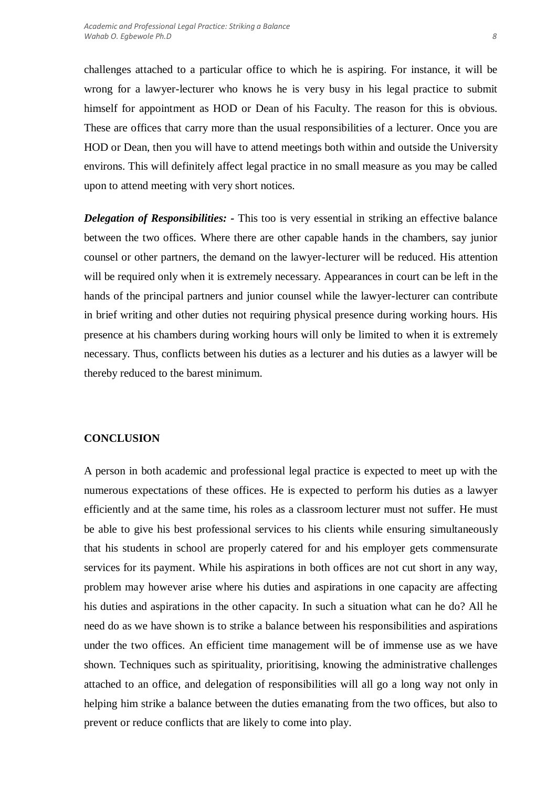challenges attached to a particular office to which he is aspiring. For instance, it will be wrong for a lawyer-lecturer who knows he is very busy in his legal practice to submit himself for appointment as HOD or Dean of his Faculty. The reason for this is obvious. These are offices that carry more than the usual responsibilities of a lecturer. Once you are HOD or Dean, then you will have to attend meetings both within and outside the University environs. This will definitely affect legal practice in no small measure as you may be called upon to attend meeting with very short notices.

*Delegation of Responsibilities: -* This too is very essential in striking an effective balance between the two offices. Where there are other capable hands in the chambers, say junior counsel or other partners, the demand on the lawyer-lecturer will be reduced. His attention will be required only when it is extremely necessary. Appearances in court can be left in the hands of the principal partners and junior counsel while the lawyer-lecturer can contribute in brief writing and other duties not requiring physical presence during working hours. His presence at his chambers during working hours will only be limited to when it is extremely necessary. Thus, conflicts between his duties as a lecturer and his duties as a lawyer will be thereby reduced to the barest minimum.

### **CONCLUSION**

A person in both academic and professional legal practice is expected to meet up with the numerous expectations of these offices. He is expected to perform his duties as a lawyer efficiently and at the same time, his roles as a classroom lecturer must not suffer. He must be able to give his best professional services to his clients while ensuring simultaneously that his students in school are properly catered for and his employer gets commensurate services for its payment. While his aspirations in both offices are not cut short in any way, problem may however arise where his duties and aspirations in one capacity are affecting his duties and aspirations in the other capacity. In such a situation what can he do? All he need do as we have shown is to strike a balance between his responsibilities and aspirations under the two offices. An efficient time management will be of immense use as we have shown. Techniques such as spirituality, prioritising, knowing the administrative challenges attached to an office, and delegation of responsibilities will all go a long way not only in helping him strike a balance between the duties emanating from the two offices, but also to prevent or reduce conflicts that are likely to come into play.